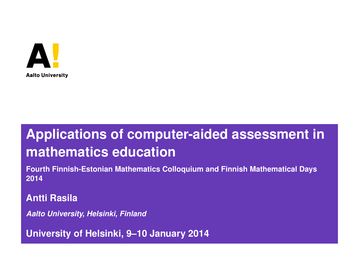

## **Applications of computer-aided assessment in mathematics education**

**Fourth Finnish-Estonian Mathematics Colloquium and Finnish Mathematical Days 2014**

**Antti Rasila**

*Aalto University, Helsinki, Finland*

<span id="page-0-0"></span>**University of Helsinki, 9–10 January 2014**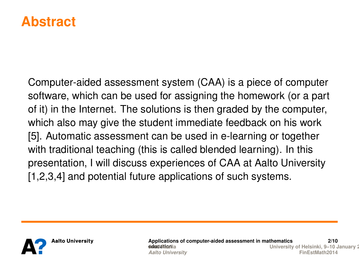#### **Abstract**

Computer-aided assessment system (CAA) is a piece of computer software, which can be used for assigning the homework (or a part of it) in the Internet. The solutions is then graded by the computer, which also may give the student immediate feedback on his work [5]. Automatic assessment can be used in e-learning or together with traditional teaching (this is called blended learning). In this presentation, I will discuss experiences of CAA at Aalto University [1,2,3,4] and potential future applications of such systems.

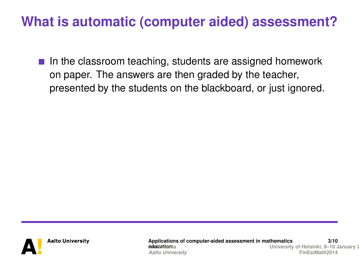$\blacksquare$  In the classroom teaching, students are assigned homework on paper. The answers are then graded by the teacher, presented by the students on the blackboard, or just ignored.



**Applications of computer-aided assessment in mathematics** *doubli Rimail***a 3/10 University of Helsinki, 9–10 January 2** *Aalto University* **[FinEstMath2014](#page-0-0)**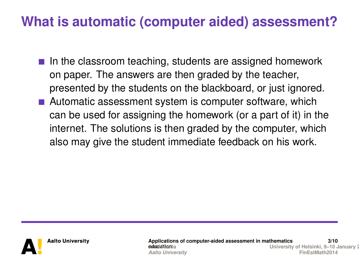- $\blacksquare$  In the classroom teaching, students are assigned homework on paper. The answers are then graded by the teacher, presented by the students on the blackboard, or just ignored.
- Automatic assessment system is computer software, which can be used for assigning the homework (or a part of it) in the internet. The solutions is then graded by the computer, which also may give the student immediate feedback on his work.



**Applications of computer-aided assessment in mathematics** *de***tucción 3/10 University of Helsinki, 9–10 January 2 Aalto University**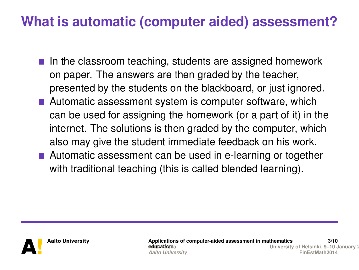- $\blacksquare$  In the classroom teaching, students are assigned homework on paper. The answers are then graded by the teacher, presented by the students on the blackboard, or just ignored.
- Automatic assessment system is computer software, which can be used for assigning the homework (or a part of it) in the internet. The solutions is then graded by the computer, which also may give the student immediate feedback on his work.
- Automatic assessment can be used in e-learning or together with traditional teaching (this is called blended learning).



**Applications of computer-aided assessment in mathematics** *de***tucción 3/10 University of Helsinki, 9–10 January 2 Aalto University**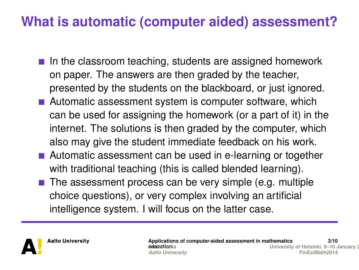- $\blacksquare$  In the classroom teaching, students are assigned homework on paper. The answers are then graded by the teacher, presented by the students on the blackboard, or just ignored.
- Automatic assessment system is computer software, which can be used for assigning the homework (or a part of it) in the internet. The solutions is then graded by the computer, which also may give the student immediate feedback on his work.
- Automatic assessment can be used in e-learning or together with traditional teaching (this is called blended learning).
- $\blacksquare$  The assessment process can be very simple (e.g. multiple choice questions), or very complex involving an artificial intelligence system. I will focus on the latter case.

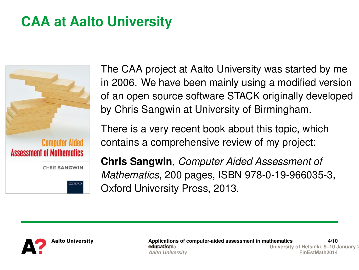# **CAA at Aalto University**



The CAA project at Aalto University was started by me in 2006. We have been mainly using a modified version of an open source software STACK originally developed by Chris Sangwin at University of Birmingham.

There is a very recent book about this topic, which contains a comprehensive review of my project:

**Chris Sangwin**, *Computer Aided Assessment of Mathematics*, 200 pages, ISBN 978-0-19-966035-3, Oxford University Press, 2013.



**Applications of computer-aided assessment in mathematics** *de***tucción 4/10 University of Helsinki, 9–10 January 2** *Aalto University* **[FinEstMath2014](#page-0-0)**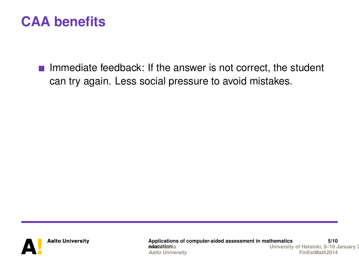$\blacksquare$  Immediate feedback: If the answer is not correct, the student can try again. Less social pressure to avoid mistakes.



**Applications of computer-aided assessment in mathematics** *doubli Rimail***a 5/10 [Antti Rasila University of He](#page-0-0)lsinki, 9–10 January 2014 Aalto University**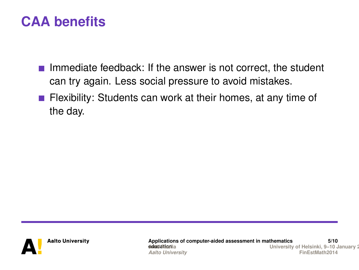- Immediate feedback: If the answer is not correct, the student can try again. Less social pressure to avoid mistakes.
- **Flexibility:** Students can work at their homes, at any time of the day.



**Applications of computer-aided assessment in mathematics** *doubli Rimail***a 5/10 [Antti Rasila University of He](#page-0-0)lsinki, 9–10 January 2014 Aalto University**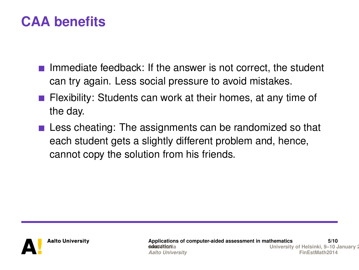- Immediate feedback: If the answer is not correct, the student can try again. Less social pressure to avoid mistakes.
- **Flexibility:** Students can work at their homes, at any time of the day.
- **Less cheating: The assignments can be randomized so that** each student gets a slightly different problem and, hence, cannot copy the solution from his friends.



**Applications of computer-aided assessment in mathematics** *de***ucción 5/10 University of Helsinki, 9–10 January 2** *Aalto University* **[FinEstMath2014](#page-0-0)**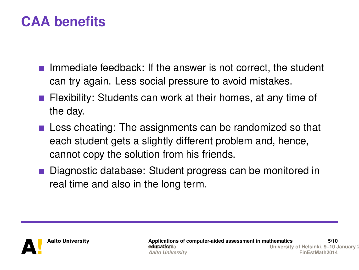- Immediate feedback: If the answer is not correct, the student can try again. Less social pressure to avoid mistakes.
- **Flexibility:** Students can work at their homes, at any time of the day.
- $\blacksquare$  Less cheating: The assignments can be randomized so that each student gets a slightly different problem and, hence, cannot copy the solution from his friends.
- Diagnostic database: Student progress can be monitored in real time and also in the long term.

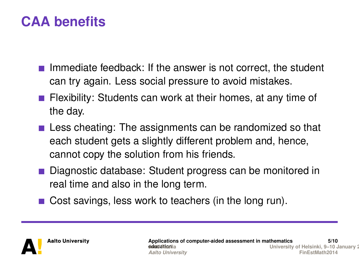- Immediate feedback: If the answer is not correct, the student can try again. Less social pressure to avoid mistakes.
- **Figure 1** Flexibility: Students can work at their homes, at any time of the day.
- $\blacksquare$  Less cheating: The assignments can be randomized so that each student gets a slightly different problem and, hence, cannot copy the solution from his friends.
- Diagnostic database: Student progress can be monitored in real time and also in the long term.
- Cost savings, less work to teachers (in the long run).

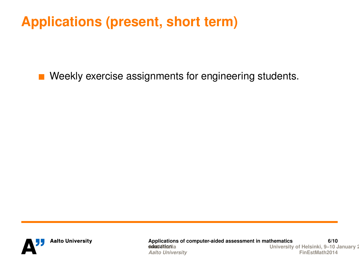■ Weekly exercise assignments for engineering students.



**Applications of computer-aided assessment in mathematics** *doublishing*ila **6/10 [Antti Rasila University of He](#page-0-0)lsinki, 9–10 January 2014 Aalto University**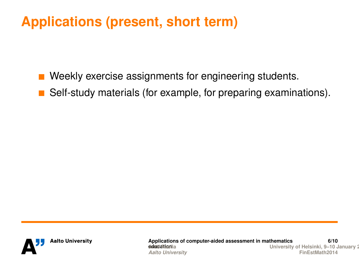- Weekly exercise assignments for engineering students.
- **B** Self-study materials (for example, for preparing examinations).



**Applications of computer-aided assessment in mathematics** *doubli Rimail***a 6/10 [Antti Rasila University of He](#page-0-0)lsinki, 9–10 January 2014 Aalto University**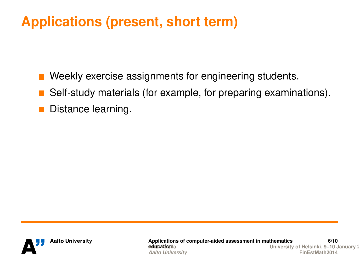■ Weekly exercise assignments for engineering students. Self-study materials (for example, for preparing examinations).

Distance learning.



**Applications of computer-aided assessment in mathematics** *doubli Rimail***a 6/10 [Antti Rasila University of He](#page-0-0)lsinki, 9–10 January 2014 Aalto University**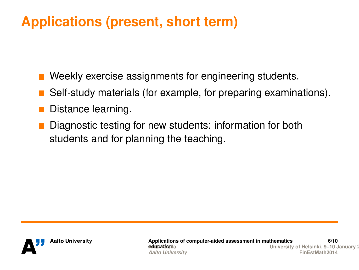- Weekly exercise assignments for engineering students.
- Self-study materials (for example, for preparing examinations).
- **Distance learning.**
- Diagnostic testing for new students: information for both students and for planning the teaching.

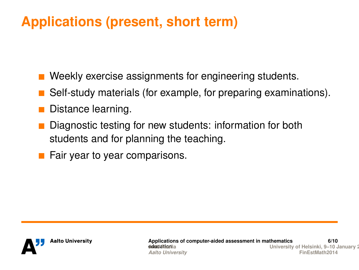- Weekly exercise assignments for engineering students.
- Self-study materials (for example, for preparing examinations).
- **Distance learning.**
- Diagnostic testing for new students: information for both students and for planning the teaching.
- $\blacksquare$  Fair year to year comparisons.

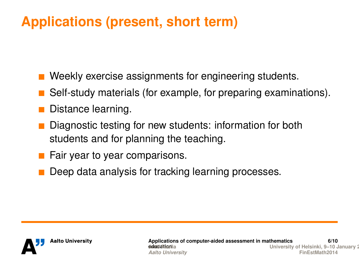- Weekly exercise assignments for engineering students.
- Self-study materials (for example, for preparing examinations).
- **Distance learning.**
- Diagnostic testing for new students: information for both students and for planning the teaching.
- $\blacksquare$  Fair year to year comparisons.
- Deep data analysis for tracking learning processes.

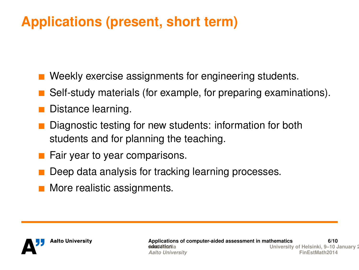- Weekly exercise assignments for engineering students.
- Self-study materials (for example, for preparing examinations).
- **Distance learning.**
- Diagnostic testing for new students: information for both students and for planning the teaching.
- $\blacksquare$  Fair year to year comparisons.
- Deep data analysis for tracking learning processes.
- **More realistic assignments.**

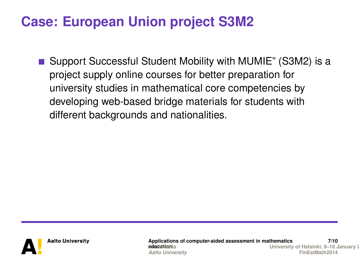#### **Case: European Union project S3M2**

■ Support Successful Student Mobility with MUMIE" (S3M2) is a project supply online courses for better preparation for university studies in mathematical core competencies by developing web-based bridge materials for students with different backgrounds and nationalities.



**Applications of computer-aided assessment in mathematics** *doubli Rimail***a 7/10 University of Helsinki, 9–10 January 2** *Aalto University* **[FinEstMath2014](#page-0-0)**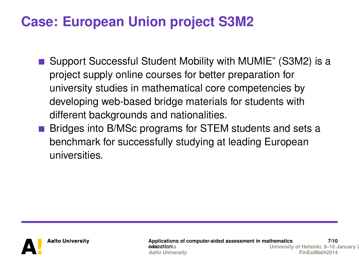#### **Case: European Union project S3M2**

- Support Successful Student Mobility with MUMIE" (S3M2) is a project supply online courses for better preparation for university studies in mathematical core competencies by developing web-based bridge materials for students with different backgrounds and nationalities.
- **Bridges into B/MSc programs for STEM students and sets a** benchmark for successfully studying at leading European universities.



**Applications of computer-aided assessment in mathematics** *de***tuccional 7/10 University of Helsinki, 9–10 January 2** *Aalto University* **[FinEstMath2014](#page-0-0)**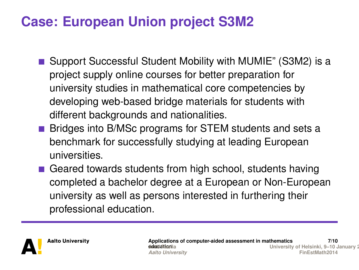## **Case: European Union project S3M2**

- Support Successful Student Mobility with MUMIE" (S3M2) is a project supply online courses for better preparation for university studies in mathematical core competencies by developing web-based bridge materials for students with different backgrounds and nationalities.
- **Bridges into B/MSc programs for STEM students and sets a** benchmark for successfully studying at leading European universities.
- Geared towards students from high school, students having completed a bachelor degree at a European or Non-European university as well as persons interested in furthering their professional education.

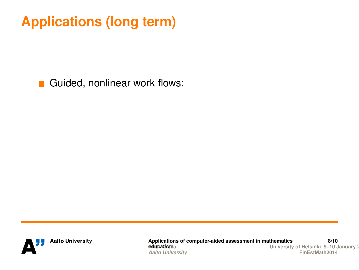Guided, nonlinear work flows:



**Applications of computer-aided assessment in mathematics deuch Riverila 8/10 [Antti Rasila University of He](#page-0-0)lsinki, 9–10 January 2014 Aalto University**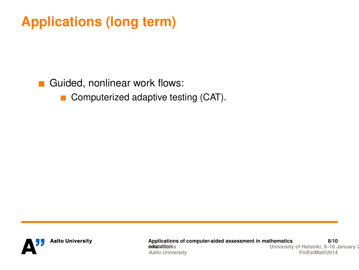#### Guided, nonlinear work flows:

Computerized adaptive testing (CAT).  $\mathcal{L}_{\mathcal{A}}$ 



**Applications of computer-aided assessment in mathematics** *doublishing*ila **8/10 [Antti Rasila University of He](#page-0-0)lsinki, 9–10 January 2014 Aalto University**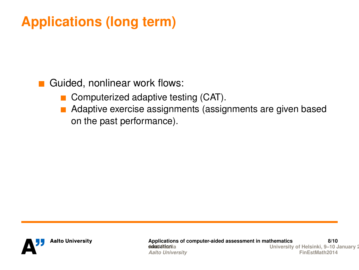Guided, nonlinear work flows:

- Computerized adaptive testing (CAT).
- Adaptive exercise assignments (assignments are given based on the past performance).



**Applications of computer-aided assessment in mathematics** *doubli Rimail***a 8/10 [Antti Rasila University of He](#page-0-0)lsinki, 9–10 January 2014 Aalto University**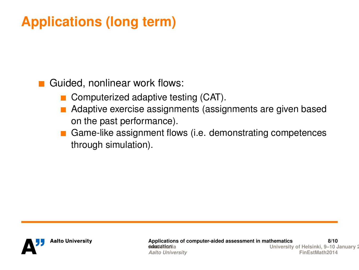Guided, nonlinear work flows:

- Computerized adaptive testing (CAT).
- Adaptive exercise assignments (assignments are given based on the past performance).
- Game-like assignment flows (i.e. demonstrating competences through simulation).



**Applications of computer-aided assessment in mathematics deuchi Riverila 8/10 University of Helsinki, 9–10 January 2** *Aalto University* **[FinEstMath2014](#page-0-0)**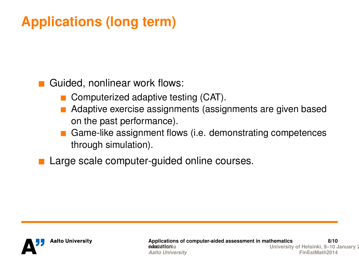Guided, nonlinear work flows:

- Computerized adaptive testing (CAT).
- Adaptive exercise assignments (assignments are given based on the past performance).
- Game-like assignment flows (i.e. demonstrating competences through simulation).

■ Large scale computer-guided online courses.

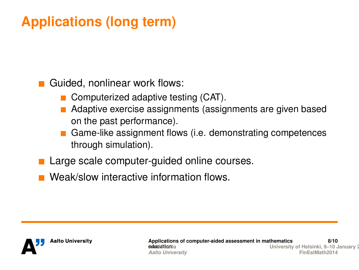Guided, nonlinear work flows:

- Computerized adaptive testing (CAT).
- Adaptive exercise assignments (assignments are given based on the past performance).
- Game-like assignment flows (i.e. demonstrating competences through simulation).
- Large scale computer-guided online courses.
- Weak/slow interactive information flows.

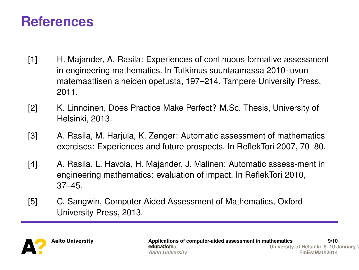#### **References**

- [1] H. Majander, A. Rasila: Experiences of continuous formative assessment in engineering mathematics. In Tutkimus suuntaamassa 2010-luvun matemaattisen aineiden opetusta, 197–214, Tampere University Press, 2011.
- [2] K. Linnoinen, Does Practice Make Perfect? M.Sc. Thesis, University of Helsinki, 2013.
- [3] A. Rasila, M. Harjula, K. Zenger: Automatic assessment of mathematics exercises: Experiences and future prospects. In ReflekTori 2007, 70–80.
- [4] A. Rasila, L. Havola, H. Majander, J. Malinen: Automatic assess-ment in engineering mathematics: evaluation of impact. In ReflekTori 2010, 37–45.
- [5] C. Sangwin, Computer Aided Assessment of Mathematics, Oxford University Press, 2013.